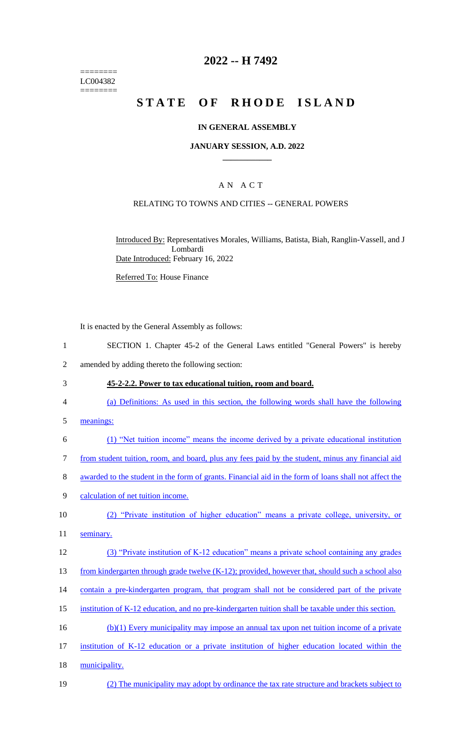======== LC004382 ========

### **2022 -- H 7492**

# **STATE OF RHODE ISLAND**

#### **IN GENERAL ASSEMBLY**

#### **JANUARY SESSION, A.D. 2022 \_\_\_\_\_\_\_\_\_\_\_\_**

### A N A C T

#### RELATING TO TOWNS AND CITIES -- GENERAL POWERS

Introduced By: Representatives Morales, Williams, Batista, Biah, Ranglin-Vassell, and J Lombardi Date Introduced: February 16, 2022

Referred To: House Finance

It is enacted by the General Assembly as follows:

- 1 SECTION 1. Chapter 45-2 of the General Laws entitled "General Powers" is hereby
- 2 amended by adding thereto the following section:
- 3 **45-2-2.2. Power to tax educational tuition, room and board.**
- 4 (a) Definitions: As used in this section, the following words shall have the following
- 5 meanings:
- 6 (1) "Net tuition income" means the income derived by a private educational institution
- 7 from student tuition, room, and board, plus any fees paid by the student, minus any financial aid
- 8 awarded to the student in the form of grants. Financial aid in the form of loans shall not affect the
- 9 calculation of net tuition income.
- 10 (2) "Private institution of higher education" means a private college, university, or
- 11 seminary.
- 12 (3) "Private institution of K-12 education" means a private school containing any grades
- 13 from kindergarten through grade twelve (K-12); provided, however that, should such a school also
- 14 contain a pre-kindergarten program, that program shall not be considered part of the private
- 15 institution of K-12 education, and no pre-kindergarten tuition shall be taxable under this section.
- 16 (b)(1) Every municipality may impose an annual tax upon net tuition income of a private
- 17 institution of K-12 education or a private institution of higher education located within the
- 18 municipality.
- 19 (2) The municipality may adopt by ordinance the tax rate structure and brackets subject to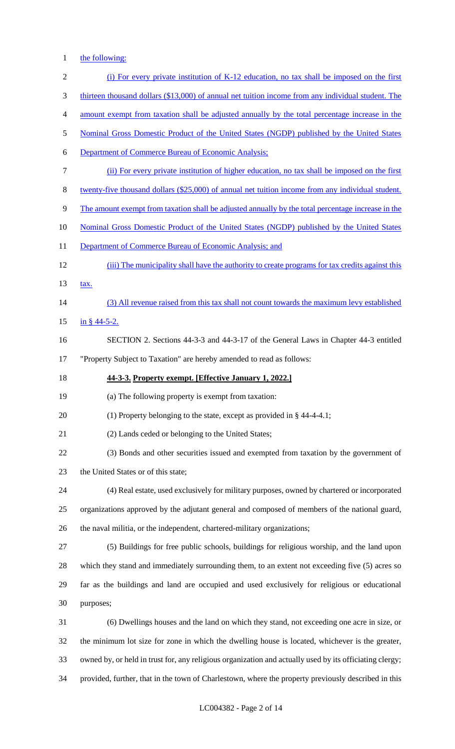1 the following:

| $\sqrt{2}$       | (i) For every private institution of K-12 education, no tax shall be imposed on the first               |
|------------------|---------------------------------------------------------------------------------------------------------|
| 3                | thirteen thousand dollars (\$13,000) of annual net tuition income from any individual student. The      |
| $\overline{4}$   | amount exempt from taxation shall be adjusted annually by the total percentage increase in the          |
| 5                | Nominal Gross Domestic Product of the United States (NGDP) published by the United States               |
| 6                | <b>Department of Commerce Bureau of Economic Analysis;</b>                                              |
| $\boldsymbol{7}$ | (ii) For every private institution of higher education, no tax shall be imposed on the first            |
| $8\,$            | twenty-five thousand dollars (\$25,000) of annual net tuition income from any individual student.       |
| 9                | The amount exempt from taxation shall be adjusted annually by the total percentage increase in the      |
| 10               | Nominal Gross Domestic Product of the United States (NGDP) published by the United States               |
| 11               | Department of Commerce Bureau of Economic Analysis; and                                                 |
| 12               | (iii) The municipality shall have the authority to create programs for tax credits against this         |
| 13               | tax.                                                                                                    |
| 14               | (3) All revenue raised from this tax shall not count towards the maximum levy established               |
| 15               | $\frac{\text{in } }{s}$ 44-5-2.                                                                         |
| 16               | SECTION 2. Sections 44-3-3 and 44-3-17 of the General Laws in Chapter 44-3 entitled                     |
| 17               | "Property Subject to Taxation" are hereby amended to read as follows:                                   |
| 18               | 44-3-3. Property exempt. [Effective January 1, 2022.]                                                   |
| 19               | (a) The following property is exempt from taxation:                                                     |
| 20               | (1) Property belonging to the state, except as provided in $\S$ 44-4-4.1;                               |
| 21               | (2) Lands ceded or belonging to the United States;                                                      |
| 22               | (3) Bonds and other securities issued and exempted from taxation by the government of                   |
| 23               | the United States or of this state;                                                                     |
| 24               | (4) Real estate, used exclusively for military purposes, owned by chartered or incorporated             |
| 25               | organizations approved by the adjutant general and composed of members of the national guard,           |
| 26               | the naval militia, or the independent, chartered-military organizations;                                |
| 27               | (5) Buildings for free public schools, buildings for religious worship, and the land upon               |
| 28               | which they stand and immediately surrounding them, to an extent not exceeding five (5) acres so         |
| 29               | far as the buildings and land are occupied and used exclusively for religious or educational            |
| 30               | purposes;                                                                                               |
| 31               | (6) Dwellings houses and the land on which they stand, not exceeding one acre in size, or               |
| 32               | the minimum lot size for zone in which the dwelling house is located, whichever is the greater,         |
| 33               | owned by, or held in trust for, any religious organization and actually used by its officiating clergy; |
| 34               | provided, further, that in the town of Charlestown, where the property previously described in this     |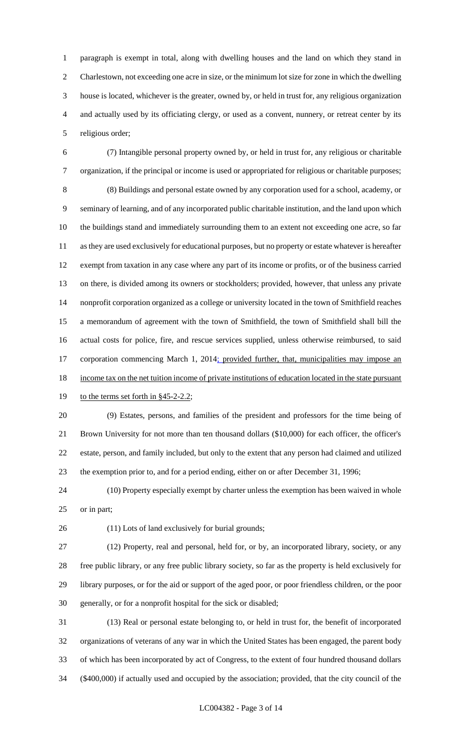paragraph is exempt in total, along with dwelling houses and the land on which they stand in Charlestown, not exceeding one acre in size, or the minimum lot size for zone in which the dwelling house is located, whichever is the greater, owned by, or held in trust for, any religious organization and actually used by its officiating clergy, or used as a convent, nunnery, or retreat center by its religious order;

 (7) Intangible personal property owned by, or held in trust for, any religious or charitable organization, if the principal or income is used or appropriated for religious or charitable purposes; (8) Buildings and personal estate owned by any corporation used for a school, academy, or seminary of learning, and of any incorporated public charitable institution, and the land upon which the buildings stand and immediately surrounding them to an extent not exceeding one acre, so far as they are used exclusively for educational purposes, but no property or estate whatever is hereafter exempt from taxation in any case where any part of its income or profits, or of the business carried on there, is divided among its owners or stockholders; provided, however, that unless any private nonprofit corporation organized as a college or university located in the town of Smithfield reaches a memorandum of agreement with the town of Smithfield, the town of Smithfield shall bill the actual costs for police, fire, and rescue services supplied, unless otherwise reimbursed, to said 17 corporation commencing March 1, 2014; provided further, that, municipalities may impose an 18 income tax on the net tuition income of private institutions of education located in the state pursuant

### 19 to the terms set forth in §45-2-2.2;

 (9) Estates, persons, and families of the president and professors for the time being of Brown University for not more than ten thousand dollars (\$10,000) for each officer, the officer's estate, person, and family included, but only to the extent that any person had claimed and utilized the exemption prior to, and for a period ending, either on or after December 31, 1996;

 (10) Property especially exempt by charter unless the exemption has been waived in whole or in part;

(11) Lots of land exclusively for burial grounds;

 (12) Property, real and personal, held for, or by, an incorporated library, society, or any free public library, or any free public library society, so far as the property is held exclusively for library purposes, or for the aid or support of the aged poor, or poor friendless children, or the poor generally, or for a nonprofit hospital for the sick or disabled;

 (13) Real or personal estate belonging to, or held in trust for, the benefit of incorporated organizations of veterans of any war in which the United States has been engaged, the parent body of which has been incorporated by act of Congress, to the extent of four hundred thousand dollars (\$400,000) if actually used and occupied by the association; provided, that the city council of the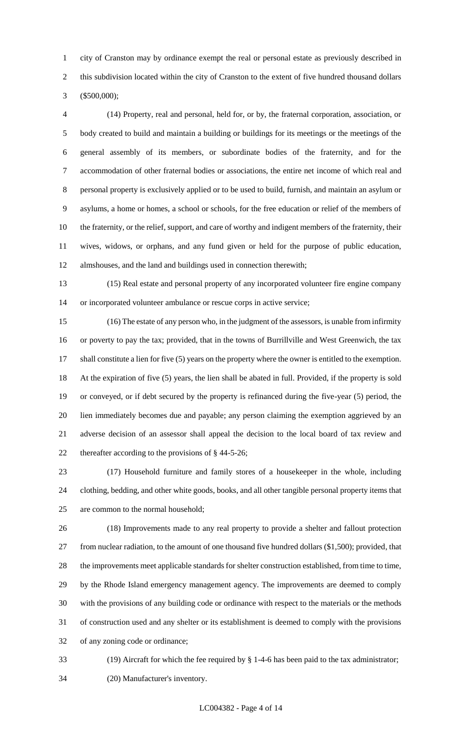city of Cranston may by ordinance exempt the real or personal estate as previously described in this subdivision located within the city of Cranston to the extent of five hundred thousand dollars (\$500,000);

 (14) Property, real and personal, held for, or by, the fraternal corporation, association, or body created to build and maintain a building or buildings for its meetings or the meetings of the general assembly of its members, or subordinate bodies of the fraternity, and for the accommodation of other fraternal bodies or associations, the entire net income of which real and personal property is exclusively applied or to be used to build, furnish, and maintain an asylum or asylums, a home or homes, a school or schools, for the free education or relief of the members of the fraternity, or the relief, support, and care of worthy and indigent members of the fraternity, their wives, widows, or orphans, and any fund given or held for the purpose of public education, almshouses, and the land and buildings used in connection therewith;

 (15) Real estate and personal property of any incorporated volunteer fire engine company or incorporated volunteer ambulance or rescue corps in active service;

 (16) The estate of any person who, in the judgment of the assessors, is unable from infirmity or poverty to pay the tax; provided, that in the towns of Burrillville and West Greenwich, the tax shall constitute a lien for five (5) years on the property where the owner is entitled to the exemption. At the expiration of five (5) years, the lien shall be abated in full. Provided, if the property is sold or conveyed, or if debt secured by the property is refinanced during the five-year (5) period, the lien immediately becomes due and payable; any person claiming the exemption aggrieved by an adverse decision of an assessor shall appeal the decision to the local board of tax review and thereafter according to the provisions of § 44-5-26;

 (17) Household furniture and family stores of a housekeeper in the whole, including clothing, bedding, and other white goods, books, and all other tangible personal property items that are common to the normal household;

 (18) Improvements made to any real property to provide a shelter and fallout protection from nuclear radiation, to the amount of one thousand five hundred dollars (\$1,500); provided, that the improvements meet applicable standards for shelter construction established, from time to time, by the Rhode Island emergency management agency. The improvements are deemed to comply with the provisions of any building code or ordinance with respect to the materials or the methods of construction used and any shelter or its establishment is deemed to comply with the provisions of any zoning code or ordinance;

 (19) Aircraft for which the fee required by § 1-4-6 has been paid to the tax administrator; (20) Manufacturer's inventory.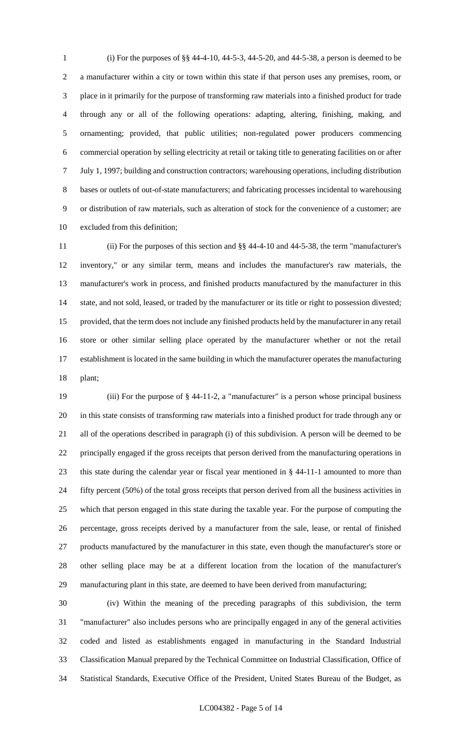(i) For the purposes of §§ 44-4-10, 44-5-3, 44-5-20, and 44-5-38, a person is deemed to be a manufacturer within a city or town within this state if that person uses any premises, room, or place in it primarily for the purpose of transforming raw materials into a finished product for trade through any or all of the following operations: adapting, altering, finishing, making, and ornamenting; provided, that public utilities; non-regulated power producers commencing commercial operation by selling electricity at retail or taking title to generating facilities on or after July 1, 1997; building and construction contractors; warehousing operations, including distribution bases or outlets of out-of-state manufacturers; and fabricating processes incidental to warehousing or distribution of raw materials, such as alteration of stock for the convenience of a customer; are excluded from this definition;

 (ii) For the purposes of this section and §§ 44-4-10 and 44-5-38, the term "manufacturer's inventory," or any similar term, means and includes the manufacturer's raw materials, the manufacturer's work in process, and finished products manufactured by the manufacturer in this state, and not sold, leased, or traded by the manufacturer or its title or right to possession divested; provided, that the term does not include any finished products held by the manufacturer in any retail store or other similar selling place operated by the manufacturer whether or not the retail establishment is located in the same building in which the manufacturer operates the manufacturing plant;

 (iii) For the purpose of § 44-11-2, a "manufacturer" is a person whose principal business in this state consists of transforming raw materials into a finished product for trade through any or all of the operations described in paragraph (i) of this subdivision. A person will be deemed to be principally engaged if the gross receipts that person derived from the manufacturing operations in this state during the calendar year or fiscal year mentioned in § 44-11-1 amounted to more than fifty percent (50%) of the total gross receipts that person derived from all the business activities in which that person engaged in this state during the taxable year. For the purpose of computing the percentage, gross receipts derived by a manufacturer from the sale, lease, or rental of finished products manufactured by the manufacturer in this state, even though the manufacturer's store or other selling place may be at a different location from the location of the manufacturer's manufacturing plant in this state, are deemed to have been derived from manufacturing;

 (iv) Within the meaning of the preceding paragraphs of this subdivision, the term "manufacturer" also includes persons who are principally engaged in any of the general activities coded and listed as establishments engaged in manufacturing in the Standard Industrial Classification Manual prepared by the Technical Committee on Industrial Classification, Office of Statistical Standards, Executive Office of the President, United States Bureau of the Budget, as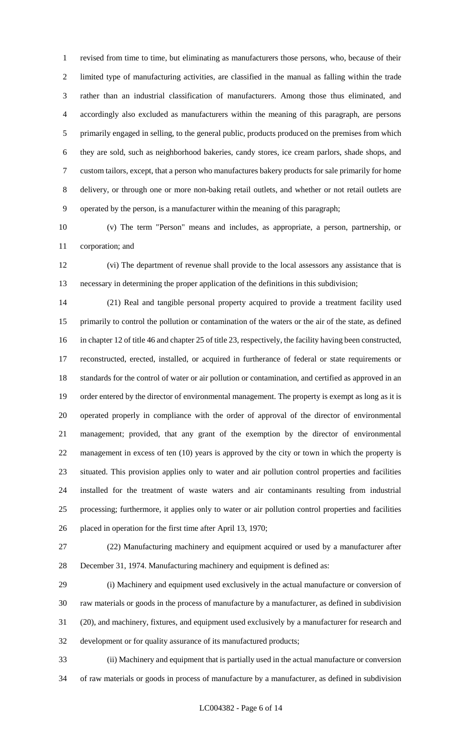revised from time to time, but eliminating as manufacturers those persons, who, because of their limited type of manufacturing activities, are classified in the manual as falling within the trade rather than an industrial classification of manufacturers. Among those thus eliminated, and accordingly also excluded as manufacturers within the meaning of this paragraph, are persons primarily engaged in selling, to the general public, products produced on the premises from which they are sold, such as neighborhood bakeries, candy stores, ice cream parlors, shade shops, and custom tailors, except, that a person who manufactures bakery products for sale primarily for home delivery, or through one or more non-baking retail outlets, and whether or not retail outlets are operated by the person, is a manufacturer within the meaning of this paragraph;

 (v) The term "Person" means and includes, as appropriate, a person, partnership, or corporation; and

 (vi) The department of revenue shall provide to the local assessors any assistance that is necessary in determining the proper application of the definitions in this subdivision;

 (21) Real and tangible personal property acquired to provide a treatment facility used primarily to control the pollution or contamination of the waters or the air of the state, as defined in chapter 12 of title 46 and chapter 25 of title 23, respectively, the facility having been constructed, reconstructed, erected, installed, or acquired in furtherance of federal or state requirements or standards for the control of water or air pollution or contamination, and certified as approved in an order entered by the director of environmental management. The property is exempt as long as it is operated properly in compliance with the order of approval of the director of environmental management; provided, that any grant of the exemption by the director of environmental management in excess of ten (10) years is approved by the city or town in which the property is situated. This provision applies only to water and air pollution control properties and facilities installed for the treatment of waste waters and air contaminants resulting from industrial processing; furthermore, it applies only to water or air pollution control properties and facilities placed in operation for the first time after April 13, 1970;

 (22) Manufacturing machinery and equipment acquired or used by a manufacturer after December 31, 1974. Manufacturing machinery and equipment is defined as:

 (i) Machinery and equipment used exclusively in the actual manufacture or conversion of raw materials or goods in the process of manufacture by a manufacturer, as defined in subdivision (20), and machinery, fixtures, and equipment used exclusively by a manufacturer for research and development or for quality assurance of its manufactured products;

 (ii) Machinery and equipment that is partially used in the actual manufacture or conversion of raw materials or goods in process of manufacture by a manufacturer, as defined in subdivision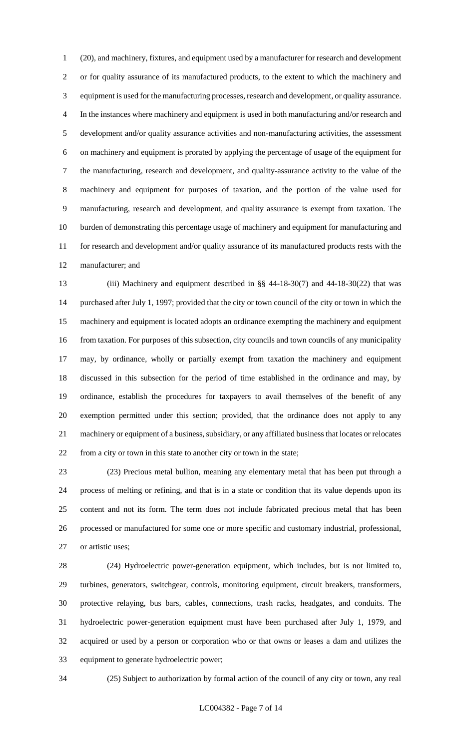(20), and machinery, fixtures, and equipment used by a manufacturer for research and development or for quality assurance of its manufactured products, to the extent to which the machinery and equipment is used for the manufacturing processes, research and development, or quality assurance. In the instances where machinery and equipment is used in both manufacturing and/or research and development and/or quality assurance activities and non-manufacturing activities, the assessment on machinery and equipment is prorated by applying the percentage of usage of the equipment for the manufacturing, research and development, and quality-assurance activity to the value of the machinery and equipment for purposes of taxation, and the portion of the value used for manufacturing, research and development, and quality assurance is exempt from taxation. The burden of demonstrating this percentage usage of machinery and equipment for manufacturing and for research and development and/or quality assurance of its manufactured products rests with the manufacturer; and

 (iii) Machinery and equipment described in §§ 44-18-30(7) and 44-18-30(22) that was purchased after July 1, 1997; provided that the city or town council of the city or town in which the machinery and equipment is located adopts an ordinance exempting the machinery and equipment from taxation. For purposes of this subsection, city councils and town councils of any municipality may, by ordinance, wholly or partially exempt from taxation the machinery and equipment discussed in this subsection for the period of time established in the ordinance and may, by ordinance, establish the procedures for taxpayers to avail themselves of the benefit of any exemption permitted under this section; provided, that the ordinance does not apply to any machinery or equipment of a business, subsidiary, or any affiliated business that locates or relocates from a city or town in this state to another city or town in the state;

 (23) Precious metal bullion, meaning any elementary metal that has been put through a process of melting or refining, and that is in a state or condition that its value depends upon its content and not its form. The term does not include fabricated precious metal that has been processed or manufactured for some one or more specific and customary industrial, professional, or artistic uses;

 (24) Hydroelectric power-generation equipment, which includes, but is not limited to, turbines, generators, switchgear, controls, monitoring equipment, circuit breakers, transformers, protective relaying, bus bars, cables, connections, trash racks, headgates, and conduits. The hydroelectric power-generation equipment must have been purchased after July 1, 1979, and acquired or used by a person or corporation who or that owns or leases a dam and utilizes the equipment to generate hydroelectric power;

(25) Subject to authorization by formal action of the council of any city or town, any real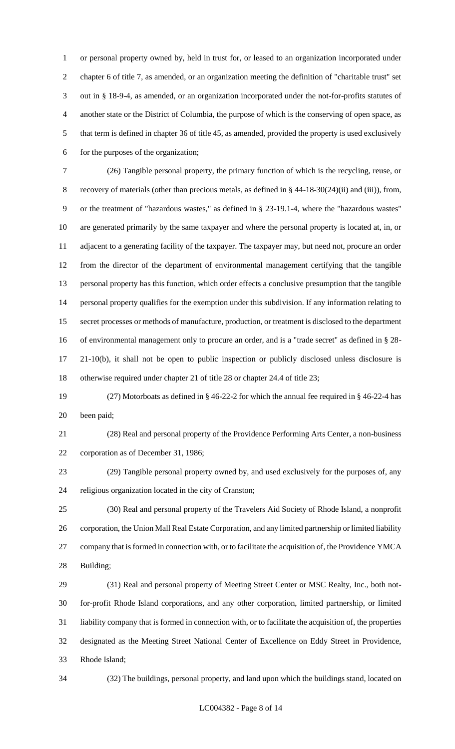or personal property owned by, held in trust for, or leased to an organization incorporated under chapter 6 of title 7, as amended, or an organization meeting the definition of "charitable trust" set out in § 18-9-4, as amended, or an organization incorporated under the not-for-profits statutes of another state or the District of Columbia, the purpose of which is the conserving of open space, as that term is defined in chapter 36 of title 45, as amended, provided the property is used exclusively for the purposes of the organization;

 (26) Tangible personal property, the primary function of which is the recycling, reuse, or recovery of materials (other than precious metals, as defined in § 44-18-30(24)(ii) and (iii)), from, or the treatment of "hazardous wastes," as defined in § 23-19.1-4, where the "hazardous wastes" are generated primarily by the same taxpayer and where the personal property is located at, in, or adjacent to a generating facility of the taxpayer. The taxpayer may, but need not, procure an order from the director of the department of environmental management certifying that the tangible personal property has this function, which order effects a conclusive presumption that the tangible personal property qualifies for the exemption under this subdivision. If any information relating to secret processes or methods of manufacture, production, or treatment is disclosed to the department of environmental management only to procure an order, and is a "trade secret" as defined in § 28- 21-10(b), it shall not be open to public inspection or publicly disclosed unless disclosure is otherwise required under chapter 21 of title 28 or chapter 24.4 of title 23;

 (27) Motorboats as defined in § 46-22-2 for which the annual fee required in § 46-22-4 has been paid;

 (28) Real and personal property of the Providence Performing Arts Center, a non-business corporation as of December 31, 1986;

 (29) Tangible personal property owned by, and used exclusively for the purposes of, any religious organization located in the city of Cranston;

 (30) Real and personal property of the Travelers Aid Society of Rhode Island, a nonprofit corporation, the Union Mall Real Estate Corporation, and any limited partnership or limited liability company that is formed in connection with, or to facilitate the acquisition of, the Providence YMCA Building;

 (31) Real and personal property of Meeting Street Center or MSC Realty, Inc., both not- for-profit Rhode Island corporations, and any other corporation, limited partnership, or limited liability company that is formed in connection with, or to facilitate the acquisition of, the properties designated as the Meeting Street National Center of Excellence on Eddy Street in Providence, Rhode Island;

(32) The buildings, personal property, and land upon which the buildings stand, located on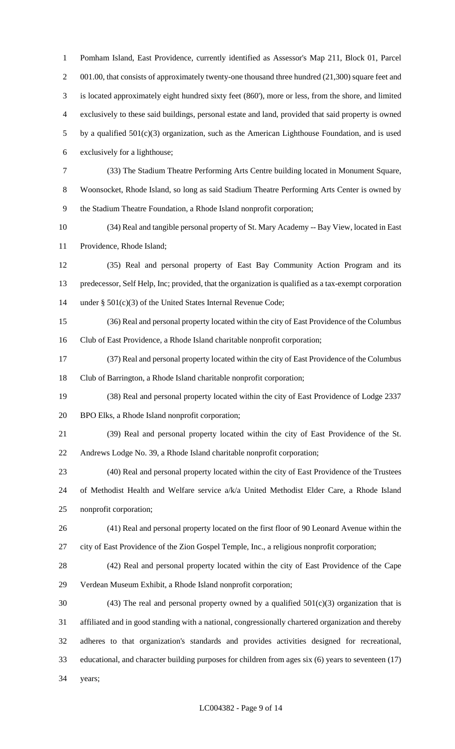Pomham Island, East Providence, currently identified as Assessor's Map 211, Block 01, Parcel 2 001.00, that consists of approximately twenty-one thousand three hundred (21,300) square feet and is located approximately eight hundred sixty feet (860'), more or less, from the shore, and limited exclusively to these said buildings, personal estate and land, provided that said property is owned by a qualified 501(c)(3) organization, such as the American Lighthouse Foundation, and is used exclusively for a lighthouse; (33) The Stadium Theatre Performing Arts Centre building located in Monument Square, Woonsocket, Rhode Island, so long as said Stadium Theatre Performing Arts Center is owned by the Stadium Theatre Foundation, a Rhode Island nonprofit corporation; (34) Real and tangible personal property of St. Mary Academy -- Bay View, located in East Providence, Rhode Island; (35) Real and personal property of East Bay Community Action Program and its predecessor, Self Help, Inc; provided, that the organization is qualified as a tax-exempt corporation under § 501(c)(3) of the United States Internal Revenue Code; (36) Real and personal property located within the city of East Providence of the Columbus Club of East Providence, a Rhode Island charitable nonprofit corporation; (37) Real and personal property located within the city of East Providence of the Columbus Club of Barrington, a Rhode Island charitable nonprofit corporation; (38) Real and personal property located within the city of East Providence of Lodge 2337 BPO Elks, a Rhode Island nonprofit corporation; (39) Real and personal property located within the city of East Providence of the St. Andrews Lodge No. 39, a Rhode Island charitable nonprofit corporation; (40) Real and personal property located within the city of East Providence of the Trustees of Methodist Health and Welfare service a/k/a United Methodist Elder Care, a Rhode Island nonprofit corporation; (41) Real and personal property located on the first floor of 90 Leonard Avenue within the

city of East Providence of the Zion Gospel Temple, Inc., a religious nonprofit corporation;

 (42) Real and personal property located within the city of East Providence of the Cape Verdean Museum Exhibit, a Rhode Island nonprofit corporation;

30 (43) The real and personal property owned by a qualified  $501(c)(3)$  organization that is affiliated and in good standing with a national, congressionally chartered organization and thereby adheres to that organization's standards and provides activities designed for recreational, educational, and character building purposes for children from ages six (6) years to seventeen (17) years;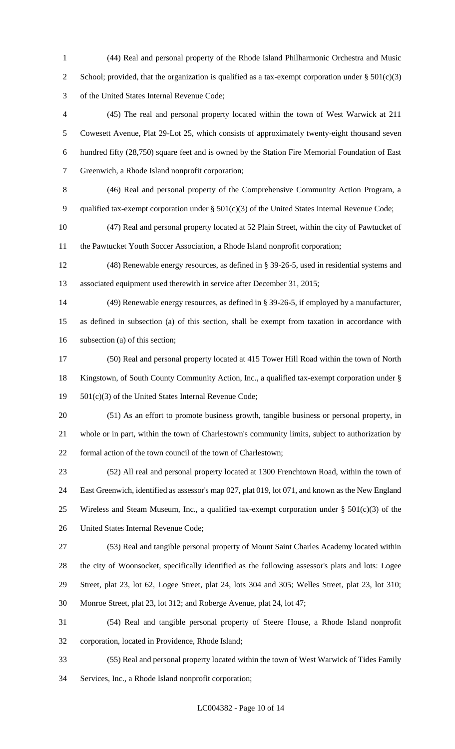(44) Real and personal property of the Rhode Island Philharmonic Orchestra and Music 2 School; provided, that the organization is qualified as a tax-exempt corporation under  $\S 501(c)(3)$ of the United States Internal Revenue Code;

 (45) The real and personal property located within the town of West Warwick at 211 Cowesett Avenue, Plat 29-Lot 25, which consists of approximately twenty-eight thousand seven hundred fifty (28,750) square feet and is owned by the Station Fire Memorial Foundation of East Greenwich, a Rhode Island nonprofit corporation;

 (46) Real and personal property of the Comprehensive Community Action Program, a qualified tax-exempt corporation under § 501(c)(3) of the United States Internal Revenue Code;

 (47) Real and personal property located at 52 Plain Street, within the city of Pawtucket of the Pawtucket Youth Soccer Association, a Rhode Island nonprofit corporation;

 (48) Renewable energy resources, as defined in § 39-26-5, used in residential systems and associated equipment used therewith in service after December 31, 2015;

 (49) Renewable energy resources, as defined in § 39-26-5, if employed by a manufacturer, as defined in subsection (a) of this section, shall be exempt from taxation in accordance with subsection (a) of this section;

 (50) Real and personal property located at 415 Tower Hill Road within the town of North Kingstown, of South County Community Action, Inc., a qualified tax-exempt corporation under § 501(c)(3) of the United States Internal Revenue Code;

 (51) As an effort to promote business growth, tangible business or personal property, in whole or in part, within the town of Charlestown's community limits, subject to authorization by formal action of the town council of the town of Charlestown;

 (52) All real and personal property located at 1300 Frenchtown Road, within the town of East Greenwich, identified as assessor's map 027, plat 019, lot 071, and known as the New England 25 Wireless and Steam Museum, Inc., a qualified tax-exempt corporation under  $\S$  501(c)(3) of the United States Internal Revenue Code;

 (53) Real and tangible personal property of Mount Saint Charles Academy located within the city of Woonsocket, specifically identified as the following assessor's plats and lots: Logee Street, plat 23, lot 62, Logee Street, plat 24, lots 304 and 305; Welles Street, plat 23, lot 310; Monroe Street, plat 23, lot 312; and Roberge Avenue, plat 24, lot 47;

 (54) Real and tangible personal property of Steere House, a Rhode Island nonprofit corporation, located in Providence, Rhode Island;

 (55) Real and personal property located within the town of West Warwick of Tides Family Services, Inc., a Rhode Island nonprofit corporation;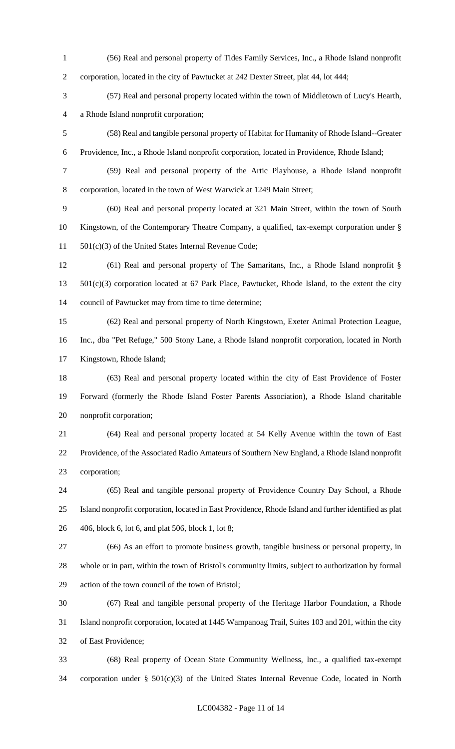(56) Real and personal property of Tides Family Services, Inc., a Rhode Island nonprofit corporation, located in the city of Pawtucket at 242 Dexter Street, plat 44, lot 444; (57) Real and personal property located within the town of Middletown of Lucy's Hearth, a Rhode Island nonprofit corporation; (58) Real and tangible personal property of Habitat for Humanity of Rhode Island--Greater Providence, Inc., a Rhode Island nonprofit corporation, located in Providence, Rhode Island; (59) Real and personal property of the Artic Playhouse, a Rhode Island nonprofit corporation, located in the town of West Warwick at 1249 Main Street; (60) Real and personal property located at 321 Main Street, within the town of South Kingstown, of the Contemporary Theatre Company, a qualified, tax-exempt corporation under § 501(c)(3) of the United States Internal Revenue Code; (61) Real and personal property of The Samaritans, Inc., a Rhode Island nonprofit § 501(c)(3) corporation located at 67 Park Place, Pawtucket, Rhode Island, to the extent the city council of Pawtucket may from time to time determine; (62) Real and personal property of North Kingstown, Exeter Animal Protection League, Inc., dba "Pet Refuge," 500 Stony Lane, a Rhode Island nonprofit corporation, located in North Kingstown, Rhode Island; (63) Real and personal property located within the city of East Providence of Foster Forward (formerly the Rhode Island Foster Parents Association), a Rhode Island charitable nonprofit corporation; (64) Real and personal property located at 54 Kelly Avenue within the town of East Providence, of the Associated Radio Amateurs of Southern New England, a Rhode Island nonprofit corporation; (65) Real and tangible personal property of Providence Country Day School, a Rhode Island nonprofit corporation, located in East Providence, Rhode Island and further identified as plat 406, block 6, lot 6, and plat 506, block 1, lot 8; (66) As an effort to promote business growth, tangible business or personal property, in whole or in part, within the town of Bristol's community limits, subject to authorization by formal action of the town council of the town of Bristol; (67) Real and tangible personal property of the Heritage Harbor Foundation, a Rhode Island nonprofit corporation, located at 1445 Wampanoag Trail, Suites 103 and 201, within the city of East Providence; (68) Real property of Ocean State Community Wellness, Inc., a qualified tax-exempt

corporation under § 501(c)(3) of the United States Internal Revenue Code, located in North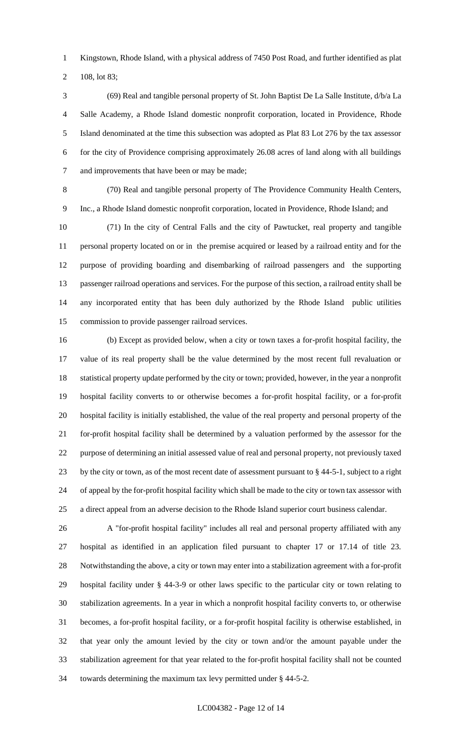Kingstown, Rhode Island, with a physical address of 7450 Post Road, and further identified as plat

108, lot 83;

 (69) Real and tangible personal property of St. John Baptist De La Salle Institute, d/b/a La Salle Academy, a Rhode Island domestic nonprofit corporation, located in Providence, Rhode Island denominated at the time this subsection was adopted as Plat 83 Lot 276 by the tax assessor for the city of Providence comprising approximately 26.08 acres of land along with all buildings and improvements that have been or may be made;

 (70) Real and tangible personal property of The Providence Community Health Centers, Inc., a Rhode Island domestic nonprofit corporation, located in Providence, Rhode Island; and

 (71) In the city of Central Falls and the city of Pawtucket, real property and tangible personal property located on or in the premise acquired or leased by a railroad entity and for the purpose of providing boarding and disembarking of railroad passengers and the supporting passenger railroad operations and services. For the purpose of this section, a railroad entity shall be any incorporated entity that has been duly authorized by the Rhode Island public utilities commission to provide passenger railroad services.

 (b) Except as provided below, when a city or town taxes a for-profit hospital facility, the value of its real property shall be the value determined by the most recent full revaluation or statistical property update performed by the city or town; provided, however, in the year a nonprofit hospital facility converts to or otherwise becomes a for-profit hospital facility, or a for-profit hospital facility is initially established, the value of the real property and personal property of the for-profit hospital facility shall be determined by a valuation performed by the assessor for the purpose of determining an initial assessed value of real and personal property, not previously taxed by the city or town, as of the most recent date of assessment pursuant to § 44-5-1, subject to a right of appeal by the for-profit hospital facility which shall be made to the city or town tax assessor with a direct appeal from an adverse decision to the Rhode Island superior court business calendar.

 A "for-profit hospital facility" includes all real and personal property affiliated with any hospital as identified in an application filed pursuant to chapter 17 or 17.14 of title 23. Notwithstanding the above, a city or town may enter into a stabilization agreement with a for-profit hospital facility under § 44-3-9 or other laws specific to the particular city or town relating to stabilization agreements. In a year in which a nonprofit hospital facility converts to, or otherwise becomes, a for-profit hospital facility, or a for-profit hospital facility is otherwise established, in that year only the amount levied by the city or town and/or the amount payable under the stabilization agreement for that year related to the for-profit hospital facility shall not be counted towards determining the maximum tax levy permitted under § 44-5-2.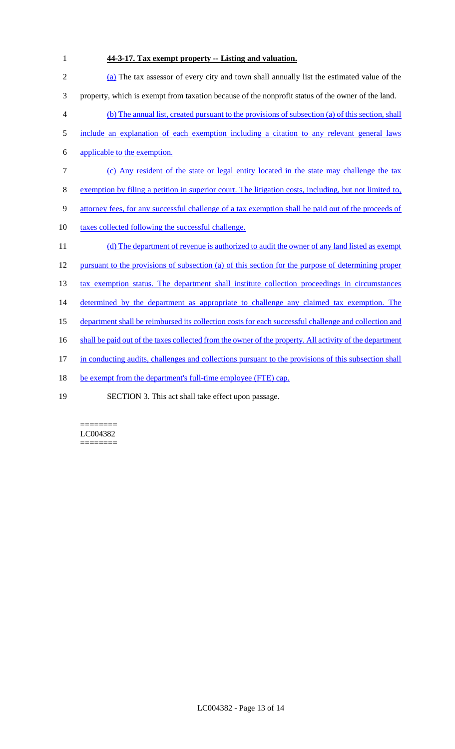**44-3-17. Tax exempt property -- Listing and valuation.** (a) The tax assessor of every city and town shall annually list the estimated value of the property, which is exempt from taxation because of the nonprofit status of the owner of the land. (b) The annual list, created pursuant to the provisions of subsection (a) of this section, shall include an explanation of each exemption including a citation to any relevant general laws applicable to the exemption. (c) Any resident of the state or legal entity located in the state may challenge the tax exemption by filing a petition in superior court. The litigation costs, including, but not limited to, attorney fees, for any successful challenge of a tax exemption shall be paid out of the proceeds of 10 taxes collected following the successful challenge. 11 (d) The department of revenue is authorized to audit the owner of any land listed as exempt pursuant to the provisions of subsection (a) of this section for the purpose of determining proper 13 tax exemption status. The department shall institute collection proceedings in circumstances 14 determined by the department as appropriate to challenge any claimed tax exemption. The department shall be reimbursed its collection costs for each successful challenge and collection and 16 shall be paid out of the taxes collected from the owner of the property. All activity of the department in conducting audits, challenges and collections pursuant to the provisions of this subsection shall 18 be exempt from the department's full-time employee (FTE) cap. SECTION 3. This act shall take effect upon passage.

======== LC004382 ========